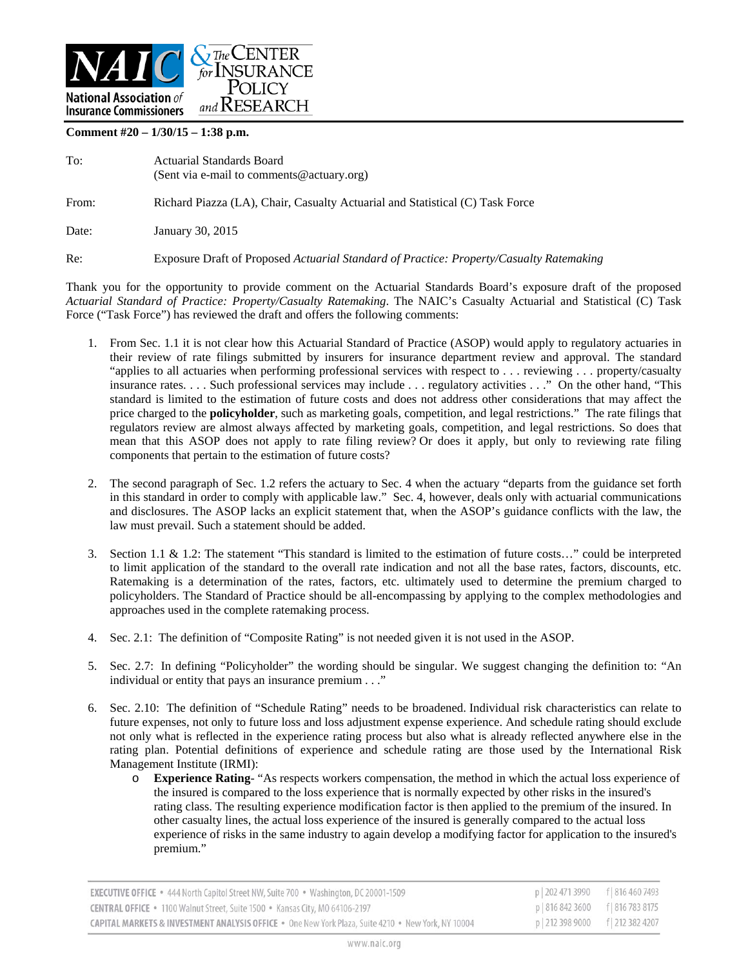

**Comment #20 – 1/30/15 – 1:38 p.m.** 

| To:   | Actuarial Standards Board<br>(Sent via e-mail to comments@actuary.org)                  |
|-------|-----------------------------------------------------------------------------------------|
| From: | Richard Piazza (LA), Chair, Casualty Actuarial and Statistical (C) Task Force           |
| Date: | January 30, 2015                                                                        |
| Re:   | Exposure Draft of Proposed Actuarial Standard of Practice: Property/Casualty Ratemaking |

Thank you for the opportunity to provide comment on the Actuarial Standards Board's exposure draft of the proposed *Actuarial Standard of Practice: Property/Casualty Ratemaking*. The NAIC's Casualty Actuarial and Statistical (C) Task Force ("Task Force") has reviewed the draft and offers the following comments:

- 1. From Sec. 1.1 it is not clear how this Actuarial Standard of Practice (ASOP) would apply to regulatory actuaries in their review of rate filings submitted by insurers for insurance department review and approval. The standard "applies to all actuaries when performing professional services with respect to . . . reviewing . . . property/casualty insurance rates. . . . Such professional services may include . . . regulatory activities . . ." On the other hand, "This standard is limited to the estimation of future costs and does not address other considerations that may affect the price charged to the **policyholder**, such as marketing goals, competition, and legal restrictions." The rate filings that regulators review are almost always affected by marketing goals, competition, and legal restrictions. So does that mean that this ASOP does not apply to rate filing review? Or does it apply, but only to reviewing rate filing components that pertain to the estimation of future costs?
- 2. The second paragraph of Sec. 1.2 refers the actuary to Sec. 4 when the actuary "departs from the guidance set forth in this standard in order to comply with applicable law." Sec. 4, however, deals only with actuarial communications and disclosures. The ASOP lacks an explicit statement that, when the ASOP's guidance conflicts with the law, the law must prevail. Such a statement should be added.
- 3. Section 1.1 & 1.2: The statement "This standard is limited to the estimation of future costs…" could be interpreted to limit application of the standard to the overall rate indication and not all the base rates, factors, discounts, etc. Ratemaking is a determination of the rates, factors, etc. ultimately used to determine the premium charged to policyholders. The Standard of Practice should be all-encompassing by applying to the complex methodologies and approaches used in the complete ratemaking process.
- 4. Sec. 2.1: The definition of "Composite Rating" is not needed given it is not used in the ASOP.
- 5. Sec. 2.7: In defining "Policyholder" the wording should be singular. We suggest changing the definition to: "An individual or entity that pays an insurance premium . . ."
- 6. Sec. 2.10: The definition of "Schedule Rating" needs to be broadened. Individual risk characteristics can relate to future expenses, not only to future loss and loss adjustment expense experience. And schedule rating should exclude not only what is reflected in the experience rating process but also what is already reflected anywhere else in the rating plan. Potential definitions of experience and schedule rating are those used by the International Risk Management Institute (IRMI):
	- o **Experience Rating** "As respects workers compensation, the method in which the actual loss experience of the insured is compared to the loss experience that is normally expected by other risks in the insured's rating class. The resulting experience modification factor is then applied to the premium of the insured. In other casualty lines, the actual loss experience of the insured is generally compared to the actual loss experience of risks in the same industry to again develop a modifying factor for application to the insured's premium."

| <b>EXECUTIVE OFFICE •</b> 444 North Capitol Street NW, Suite 700 • Washington, DC 20001-1509       | p 202 471 3990 f 816 460 7493     |  |
|----------------------------------------------------------------------------------------------------|-----------------------------------|--|
| <b>CENTRAL OFFICE •</b> 1100 Walnut Street, Suite 1500 • Kansas City, MO 64106-2197                | p 816 842 3600 f 816 783 8175     |  |
| CAPITAL MARKETS & INVESTMENT ANALYSIS OFFICE . One New York Plaza, Suite 4210 . New York, NY 10004 | p   212 398 9000 f   212 382 4207 |  |